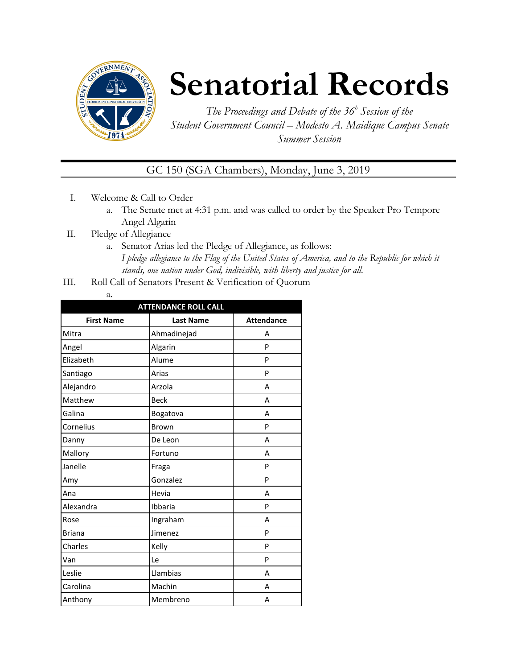

# **Senatorial Records**

*The Proceedings and Debate of the 36 <sup>h</sup> Session of the Student Government Council – Modesto A. Maidique Campus Senate Summer Session*

GC 150 (SGA Chambers), Monday, June 3, 2019

- I. Welcome & Call to Order
	- a. The Senate met at 4:31 p.m. and was called to order by the Speaker Pro Tempore Angel Algarin
- II. Pledge of Allegiance
	- a. Senator Arias led the Pledge of Allegiance, as follows: *I pledge allegiance to the Flag of the United States of America, and to the Republic for which it stands, one nation under God, indivisible, with liberty and justice for all.*
- III. Roll Call of Senators Present & Verification of Quorum
	- a.

| <b>ATTENDANCE ROLL CALL</b> |                  |                   |  |  |  |
|-----------------------------|------------------|-------------------|--|--|--|
| <b>First Name</b>           | <b>Last Name</b> | <b>Attendance</b> |  |  |  |
| Mitra                       | Ahmadinejad      | А                 |  |  |  |
| Angel                       | Algarin          | P                 |  |  |  |
| Elizabeth                   | Alume            | P                 |  |  |  |
| Santiago                    | Arias            | P                 |  |  |  |
| Alejandro                   | Arzola           | A                 |  |  |  |
| Matthew                     | <b>Beck</b>      | A                 |  |  |  |
| Galina                      | Bogatova         | A                 |  |  |  |
| Cornelius                   | Brown            | P                 |  |  |  |
| Danny                       | De Leon          | А                 |  |  |  |
| Mallory                     | Fortuno          | A                 |  |  |  |
| Janelle                     | Fraga            | P                 |  |  |  |
| Amy                         | Gonzalez         | P                 |  |  |  |
| Ana                         | Hevia            | A                 |  |  |  |
| Alexandra                   | Ibbaria          | P                 |  |  |  |
| Rose                        | Ingraham         | A                 |  |  |  |
| <b>Briana</b>               | Jimenez          | P                 |  |  |  |
| Charles                     | Kelly            | P                 |  |  |  |
| Van                         | Le               | P                 |  |  |  |
| Leslie                      | Llambias         | А                 |  |  |  |
| Carolina                    | Machin           | А                 |  |  |  |
| Anthony                     | Membreno         | A                 |  |  |  |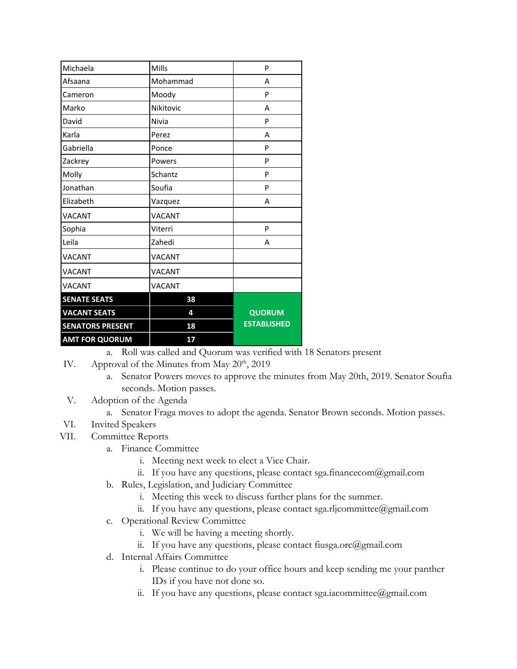| Michaela                | Mills     | P                  |
|-------------------------|-----------|--------------------|
| Afsaana                 | Mohammad  | A                  |
| Cameron                 | Moody     | P                  |
| Marko                   | Nikitovic | А                  |
| David                   | Nivia     | P                  |
| Karla                   | Perez     | A                  |
| Gabriella               | Ponce     | P                  |
| Zackrey                 | Powers    | P                  |
| Molly                   | Schantz   | P                  |
| Jonathan                | Soufia    | P                  |
| Elizabeth               | Vazquez   | Α                  |
| VACANT                  | VACANT    |                    |
| Sophia                  | Viterri   | P                  |
| Leila                   | Zahedi    | A                  |
| <b>VACANT</b>           | VACANT    |                    |
| <b>VACANT</b>           | VACANT    |                    |
| <b>VACANT</b>           | VACANT    |                    |
| <b>SENATE SEATS</b>     | 38        |                    |
| <b>VACANT SEATS</b>     | 4         | <b>QUORUM</b>      |
| <b>SENATORS PRESENT</b> | 18        | <b>ESTABLISHED</b> |
| <b>AMT FOR QUORUM</b>   | 17        |                    |

a. Roll was called and Quorum was verified with 18 Senators present

- IV. Approval of the Minutes from May  $20<sup>th</sup>$ , 2019
	- a. Senator Powers moves to approve the minutes from May 20th, 2019. Senator Soufia seconds. Motion passes.
- V. Adoption of the Agenda
	- a. Senator Fraga moves to adopt the agenda. Senator Brown seconds. Motion passes.
- VI. Invited Speakers
- VII. Committee Reports
	- a. Finance Committee
		- i. Meeting next week to elect a Vice Chair.
		- ii. If you have any questions, please contact sga.financecom@gmail.com
	- b. Rules, Legislation, and Judiciary Committee
		- i. Meeting this week to discuss further plans for the summer.
		- ii. If you have any questions, please contact sga.rljcommittee@gmail.com
	- c. Operational Review Committee
		- i. We will be having a meeting shortly.
		- ii. If you have any questions, please contact fiusga.orc@gmail.com
	- d. Internal Affairs Committee
		- i. Please continue to do your office hours and keep sending me your panther IDs if you have not done so.
		- ii. If you have any questions, please contact sga.iacommittee@gmail.com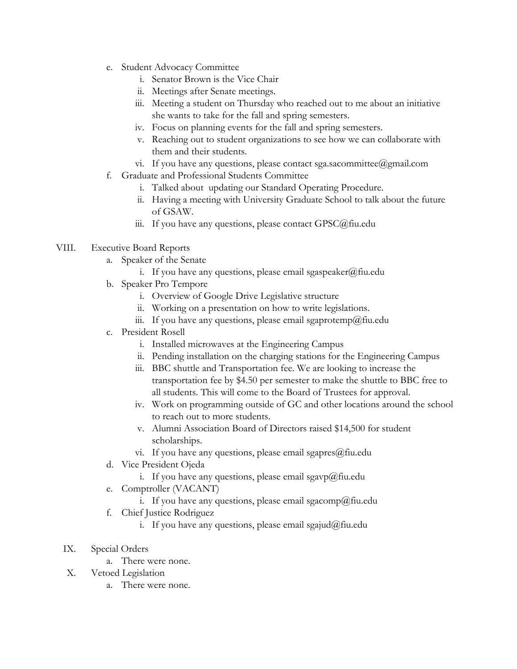- e. Student Advocacy Committee
	- i. Senator Brown is the Vice Chair
	- ii. Meetings after Senate meetings.
	- iii. Meeting a student on Thursday who reached out to me about an initiative she wants to take for the fall and spring semesters.
	- iv. Focus on planning events for the fall and spring semesters.
	- v. Reaching out to student organizations to see how we can collaborate with them and their students.
	- vi. If you have any questions, please contact sga.sacommittee@gmail.com
- f. Graduate and Professional Students Committee
	- i. Talked about updating our Standard Operating Procedure.
	- ii. Having a meeting with University Graduate School to talk about the future of GSAW.
	- iii. If you have any questions, please contact GPSC@fiu.edu

### VIII. Executive Board Reports

- a. Speaker of the Senate
	- i. If you have any questions, please email sgaspeaker $(\partial)$ fiu.edu
- b. Speaker Pro Tempore
	- i. Overview of Google Drive Legislative structure
	- ii. Working on a presentation on how to write legislations.
	- iii. If you have any questions, please email sgaprotemp@fiu.edu
- c. President Rosell
	- i. Installed microwaves at the Engineering Campus
	- ii. Pending installation on the charging stations for the Engineering Campus
	- iii. BBC shuttle and Transportation fee. We are looking to increase the transportation fee by \$4.50 per semester to make the shuttle to BBC free to all students. This will come to the Board of Trustees for approval.
	- iv. Work on programming outside of GC and other locations around the school to reach out to more students.
	- v. Alumni Association Board of Directors raised \$14,500 for student scholarships.
	- vi. If you have any questions, please email sgapres $@$ fiu.edu
- d. Vice President Ojeda
	- i. If you have any questions, please email sgavp@fiu.edu
- e. Comptroller (VACANT)
	- i. If you have any questions, please email sgacomp@fiu.edu
- f. Chief Justice Rodriguez
	- i. If you have any questions, please email sgajud@fiu.edu
- IX. Special Orders
	- a. There were none.
- X. Vetoed Legislation
	- a. There were none.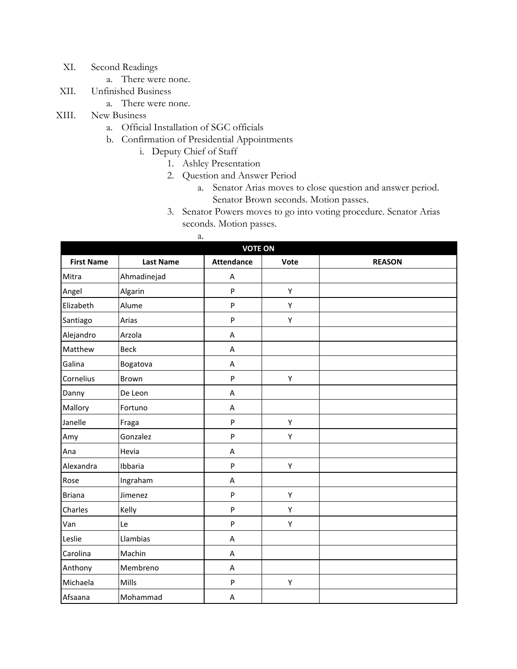- XI. Second Readings
	- a. There were none.
- XII. Unfinished Business
	- a. There were none.
- XIII. New Business
	- a. Official Installation of SGC officials
	- b. Confirmation of Presidential Appointments
		- i. Deputy Chief of Staff
			- 1. Ashley Presentation
				- 2. Question and Answer Period
					- a. Senator Arias moves to close question and answer period. Senator Brown seconds. Motion passes.
				- 3. Senator Powers moves to go into voting procedure. Senator Arias seconds. Motion passes.

|                   |                  | a.                |      |               |
|-------------------|------------------|-------------------|------|---------------|
|                   |                  | <b>VOTE ON</b>    |      |               |
| <b>First Name</b> | <b>Last Name</b> | <b>Attendance</b> | Vote | <b>REASON</b> |
| Mitra             | Ahmadinejad      | Α                 |      |               |
| Angel             | Algarin          | $\mathsf{P}$      | Υ    |               |
| Elizabeth         | Alume            | P                 | Υ    |               |
| Santiago          | Arias            | $\mathsf{P}$      | Υ    |               |
| Alejandro         | Arzola           | A                 |      |               |
| Matthew           | <b>Beck</b>      | A                 |      |               |
| Galina            | Bogatova         | A                 |      |               |
| Cornelius         | Brown            | $\mathsf{P}$      | Υ    |               |
| Danny             | De Leon          | A                 |      |               |
| Mallory           | Fortuno          | A                 |      |               |
| Janelle           | Fraga            | $\sf P$           | Υ    |               |
| Amy               | Gonzalez         | $\sf P$           | Υ    |               |
| Ana               | Hevia            | A                 |      |               |
| Alexandra         | Ibbaria          | $\sf P$           | Υ    |               |
| Rose              | Ingraham         | A                 |      |               |
| <b>Briana</b>     | Jimenez          | ${\sf P}$         | Υ    |               |
| Charles           | Kelly            | $\mathsf{P}$      | Υ    |               |
| Van               | Le               | $\mathsf{P}$      | Υ    |               |
| Leslie            | Llambias         | A                 |      |               |
| Carolina          | Machin           | A                 |      |               |
| Anthony           | Membreno         | A                 |      |               |
| Michaela          | Mills            | $\sf P$           | Υ    |               |
| Afsaana           | Mohammad         | A                 |      |               |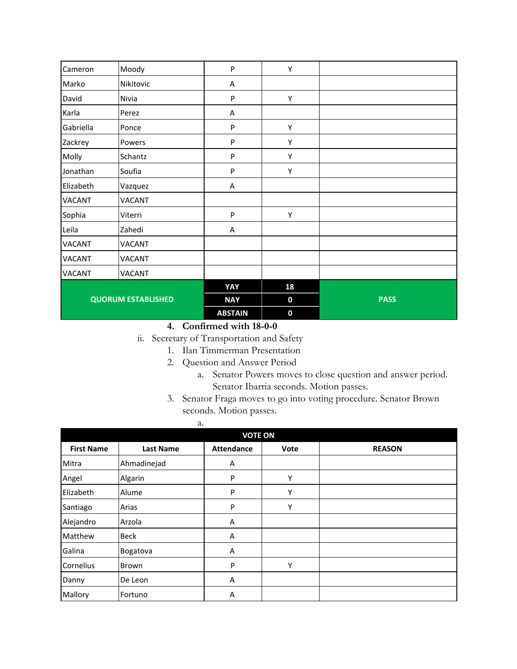| Cameron                   | Moody         | $\mathsf{P}$   | Υ           |             |
|---------------------------|---------------|----------------|-------------|-------------|
| Marko                     | Nikitovic     | A              |             |             |
| David                     | Nivia         | ${\sf P}$      | Υ           |             |
| Karla                     | Perez         | Α              |             |             |
| Gabriella                 | Ponce         | ${\sf P}$      | Υ           |             |
| Zackrey                   | Powers        | P              | Υ           |             |
| Molly                     | Schantz       | ${\sf P}$      | Υ           |             |
| Jonathan                  | Soufia        | P              | Υ           |             |
| Elizabeth                 | Vazquez       | A              |             |             |
| VACANT                    | VACANT        |                |             |             |
| Sophia                    | Viterri       | $\mathsf{P}$   | Υ           |             |
| Leila                     | Zahedi        | A              |             |             |
| <b>VACANT</b>             | <b>VACANT</b> |                |             |             |
| <b>VACANT</b>             | <b>VACANT</b> |                |             |             |
| <b>VACANT</b>             | VACANT        |                |             |             |
|                           |               | YAY            | 18          |             |
| <b>QUORUM ESTABLISHED</b> |               | <b>NAY</b>     | $\mathbf 0$ | <b>PASS</b> |
|                           |               | <b>ABSTAIN</b> | $\mathbf 0$ |             |

- ii. Secretary of Transportation and Safety
	- 1. Ilan Timmerman Presentation
	- 2. Question and Answer Period
		- a. Senator Powers moves to close question and answer period. Senator Ibarria seconds. Motion passes.
	- 3. Senator Fraga moves to go into voting procedure. Senator Brown seconds. Motion passes.

|                   | a.<br><b>VOTE ON</b> |                   |      |               |  |  |
|-------------------|----------------------|-------------------|------|---------------|--|--|
| <b>First Name</b> | <b>Last Name</b>     | <b>Attendance</b> | Vote | <b>REASON</b> |  |  |
| Mitra             | Ahmadinejad          | Α                 |      |               |  |  |
| Angel             | Algarin              | P                 | Υ    |               |  |  |
| Elizabeth         | Alume                | P                 | Υ    |               |  |  |
| Santiago          | Arias                | P                 | Υ    |               |  |  |
| Alejandro         | Arzola               | Α                 |      |               |  |  |
| Matthew           | <b>Beck</b>          | Α                 |      |               |  |  |
| Galina            | Bogatova             | Α                 |      |               |  |  |
| Cornelius         | Brown                | P                 | Υ    |               |  |  |
| Danny             | De Leon              | A                 |      |               |  |  |
| Mallory           | Fortuno              | Α                 |      |               |  |  |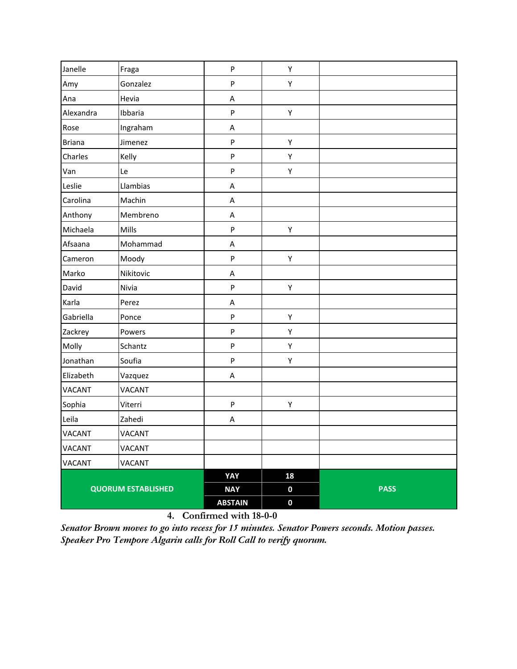| Janelle                   | Fraga         | $\sf P$        | Υ                |             |
|---------------------------|---------------|----------------|------------------|-------------|
| Amy                       | Gonzalez      | P              | Υ                |             |
| Ana                       | Hevia         | A              |                  |             |
| Alexandra                 | Ibbaria       | $\sf P$        | Υ                |             |
| Rose                      | Ingraham      | $\sf A$        |                  |             |
| <b>Briana</b>             | Jimenez       | $\mathsf{P}$   | Υ                |             |
| Charles                   | Kelly         | P              | Υ                |             |
| Van                       | Le            | P              | Υ                |             |
| Leslie                    | Llambias      | A              |                  |             |
| Carolina                  | Machin        | A              |                  |             |
| Anthony                   | Membreno      | A              |                  |             |
| Michaela                  | Mills         | ${\sf P}$      | Υ                |             |
| Afsaana                   | Mohammad      | A              |                  |             |
| Cameron                   | Moody         | ${\sf P}$      | Υ                |             |
| Marko                     | Nikitovic     | A              |                  |             |
| David                     | Nivia         | P              | Υ                |             |
| Karla                     | Perez         | A              |                  |             |
| Gabriella                 | Ponce         | $\mathsf{P}$   | Υ                |             |
| Zackrey                   | Powers        | ${\sf P}$      | Υ                |             |
| Molly                     | Schantz       | $\sf P$        | Υ                |             |
| Jonathan                  | Soufia        | $\sf P$        | Υ                |             |
| Elizabeth                 | Vazquez       | Α              |                  |             |
| VACANT                    | <b>VACANT</b> |                |                  |             |
| Sophia                    | Viterri       | P              | Υ                |             |
| Leila                     | Zahedi        | A              |                  |             |
| <b>VACANT</b>             | <b>VACANT</b> |                |                  |             |
| <b>VACANT</b>             | VACANT        |                |                  |             |
| VACANT                    | <b>VACANT</b> |                |                  |             |
|                           |               | YAY            | 18               |             |
| <b>QUORUM ESTABLISHED</b> |               | <b>NAY</b>     | $\boldsymbol{0}$ | <b>PASS</b> |
|                           |               | <b>ABSTAIN</b> | $\boldsymbol{0}$ |             |

*Senator Brown moves to go into recess for 15 minutes. Senator Powers seconds. Motion passes. Speaker Pro Tempore Algarin calls for Roll Call to verify quorum.*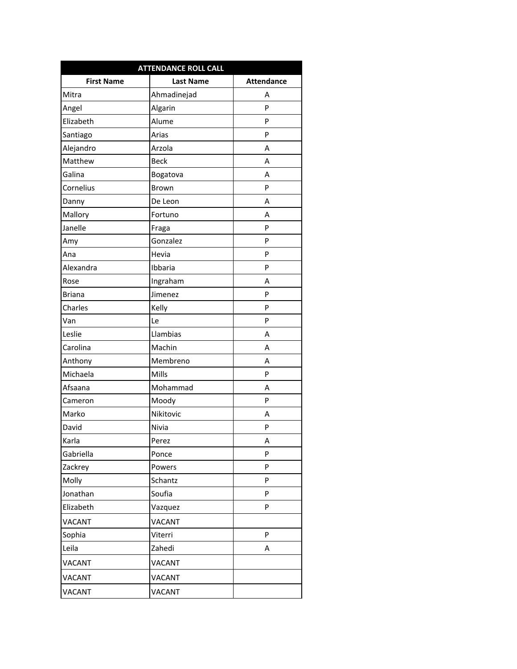| <b>ATTENDANCE ROLL CALL</b> |                  |                   |  |  |
|-----------------------------|------------------|-------------------|--|--|
| <b>First Name</b>           | <b>Last Name</b> | <b>Attendance</b> |  |  |
| Mitra                       | Ahmadinejad      | А                 |  |  |
| Angel                       | Algarin          | P                 |  |  |
| Elizabeth                   | Alume            | P                 |  |  |
| Santiago                    | Arias            | P                 |  |  |
| Alejandro                   | Arzola           | А                 |  |  |
| Matthew                     | <b>Beck</b>      | А                 |  |  |
| Galina                      | Bogatova         | А                 |  |  |
| Cornelius                   | <b>Brown</b>     | P                 |  |  |
| Danny                       | De Leon          | А                 |  |  |
| Mallory                     | Fortuno          | А                 |  |  |
| Janelle                     | Fraga            | P                 |  |  |
| Amy                         | Gonzalez         | P                 |  |  |
| Ana                         | Hevia            | P                 |  |  |
| Alexandra                   | Ibbaria          | P                 |  |  |
| Rose                        | Ingraham         | А                 |  |  |
| <b>Briana</b>               | Jimenez          | P                 |  |  |
| Charles                     | Kelly            | P                 |  |  |
| Van                         | Le               | P                 |  |  |
| Leslie                      | Llambias         | А                 |  |  |
| Carolina                    | Machin           | Α                 |  |  |
| Anthony                     | Membreno         | А                 |  |  |
| Michaela                    | Mills            | P                 |  |  |
| Afsaana                     | Mohammad         | Α                 |  |  |
| Cameron                     | Moody            | P                 |  |  |
| Marko                       | Nikitovic        | А                 |  |  |
| David                       | Nivia            | P                 |  |  |
| Karla                       | Perez            | Α                 |  |  |
| Gabriella                   | Ponce            | P                 |  |  |
| Zackrey                     | Powers           | P                 |  |  |
| Molly                       | Schantz          | P                 |  |  |
| Jonathan                    | Soufia           | P                 |  |  |
| Elizabeth                   | Vazquez          | P                 |  |  |
| <b>VACANT</b>               | <b>VACANT</b>    |                   |  |  |
| Sophia                      | Viterri          | P                 |  |  |
| Leila                       | Zahedi           | Α                 |  |  |
| VACANT                      | VACANT           |                   |  |  |
| VACANT                      | <b>VACANT</b>    |                   |  |  |
| <b>VACANT</b>               | <b>VACANT</b>    |                   |  |  |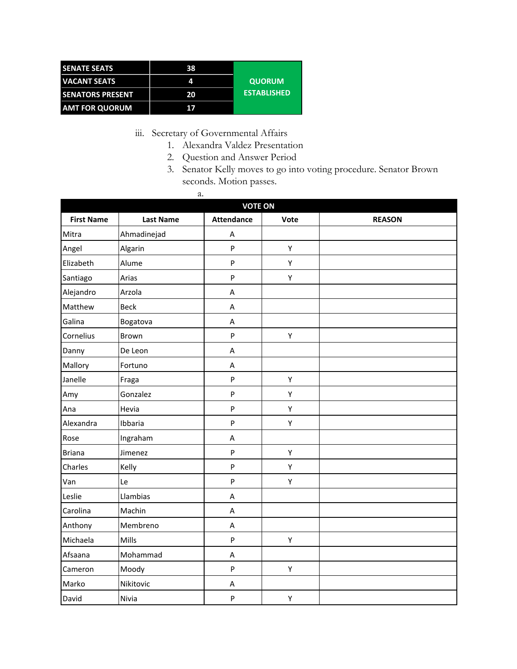| <b>SENATE SEATS</b>     | 38 |                    |
|-------------------------|----|--------------------|
| <b>VACANT SEATS</b>     | 4  | <b>QUORUM</b>      |
| <b>SENATORS PRESENT</b> | 20 | <b>ESTABLISHED</b> |
| <b>AMT FOR QUORUM</b>   | 17 |                    |

iii. Secretary of Governmental Affairs

- 1. Alexandra Valdez Presentation
- 2. Question and Answer Period
- 3. Senator Kelly moves to go into voting procedure. Senator Brown seconds. Motion passes.

| <b>VOTE ON</b>    |                  |                           |      |               |  |
|-------------------|------------------|---------------------------|------|---------------|--|
| <b>First Name</b> | <b>Last Name</b> | <b>Attendance</b>         | Vote | <b>REASON</b> |  |
| Mitra             | Ahmadinejad      | $\sf A$                   |      |               |  |
| Angel             | Algarin          | $\sf P$                   | Υ    |               |  |
| Elizabeth         | Alume            | $\boldsymbol{\mathsf{P}}$ | Υ    |               |  |
| Santiago          | Arias            | $\boldsymbol{\mathsf{P}}$ | Υ    |               |  |
| Alejandro         | Arzola           | $\sf A$                   |      |               |  |
| Matthew           | <b>Beck</b>      | A                         |      |               |  |
| Galina            | Bogatova         | Α                         |      |               |  |
| Cornelius         | Brown            | ${\sf P}$                 | Υ    |               |  |
| Danny             | De Leon          | $\boldsymbol{\mathsf{A}}$ |      |               |  |
| Mallory           | Fortuno          | A                         |      |               |  |
| Janelle           | Fraga            | $\mathsf{P}$              | Υ    |               |  |
| Amy               | Gonzalez         | $\mathsf{P}$              | Υ    |               |  |
| Ana               | Hevia            | $\boldsymbol{\mathsf{P}}$ | Υ    |               |  |
| Alexandra         | Ibbaria          | $\sf P$                   | Υ    |               |  |
| Rose              | Ingraham         | $\boldsymbol{\mathsf{A}}$ |      |               |  |
| <b>Briana</b>     | Jimenez          | $\boldsymbol{\mathsf{P}}$ | Υ    |               |  |
| Charles           | Kelly            | P                         | Υ    |               |  |
| Van               | Le               | $\boldsymbol{\mathsf{P}}$ | Υ    |               |  |
| Leslie            | Llambias         | $\sf A$                   |      |               |  |
| Carolina          | Machin           | A                         |      |               |  |
| Anthony           | Membreno         | A                         |      |               |  |
| Michaela          | Mills            | $\mathsf{P}$              | Υ    |               |  |
| Afsaana           | Mohammad         | $\boldsymbol{\mathsf{A}}$ |      |               |  |
| Cameron           | Moody            | $\boldsymbol{\mathsf{P}}$ | Υ    |               |  |
| Marko             | Nikitovic        | A                         |      |               |  |
| David             | Nivia            | $\mathsf{P}$              | Υ    |               |  |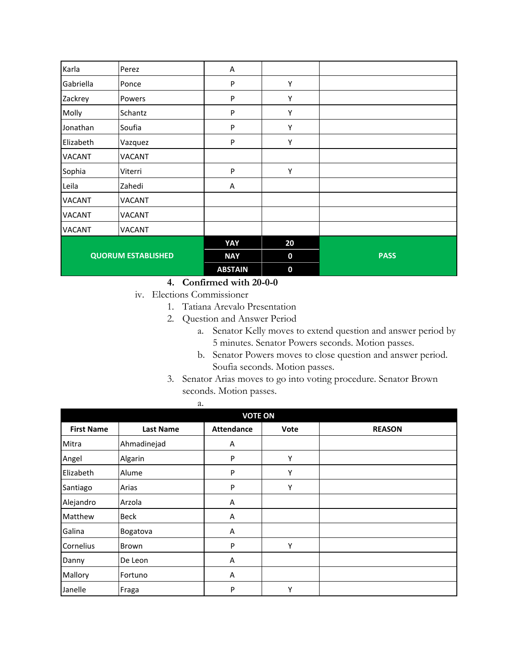| Karla                     | Perez         | A              |             |             |
|---------------------------|---------------|----------------|-------------|-------------|
| Gabriella                 | Ponce         | P              | Υ           |             |
| Zackrey                   | Powers        | P              | Υ           |             |
| Molly                     | Schantz       | P              | Υ           |             |
| Jonathan                  | Soufia        | P              | Υ           |             |
| Elizabeth                 | Vazquez       | P              | Υ           |             |
| <b>VACANT</b>             | VACANT        |                |             |             |
| Sophia                    | Viterri       | P              | Y           |             |
| Leila                     | Zahedi        | A              |             |             |
| <b>VACANT</b>             | <b>VACANT</b> |                |             |             |
| <b>VACANT</b>             | VACANT        |                |             |             |
| <b>VACANT</b>             | VACANT        |                |             |             |
| <b>QUORUM ESTABLISHED</b> |               | YAY            | 20          |             |
|                           |               | <b>NAY</b>     | $\mathbf 0$ | <b>PASS</b> |
|                           |               | <b>ABSTAIN</b> | $\bf{0}$    |             |

iv. Elections Commissioner

- 1. Tatiana Arevalo Presentation
- 2. Question and Answer Period
	- a. Senator Kelly moves to extend question and answer period by 5 minutes. Senator Powers seconds. Motion passes.
	- b. Senator Powers moves to close question and answer period. Soufia seconds. Motion passes.
- 3. Senator Arias moves to go into voting procedure. Senator Brown seconds. Motion passes.

| <b>VOTE ON</b>    |                  |                   |      |               |  |
|-------------------|------------------|-------------------|------|---------------|--|
| <b>First Name</b> | <b>Last Name</b> | <b>Attendance</b> | Vote | <b>REASON</b> |  |
| Mitra             | Ahmadinejad      | Α                 |      |               |  |
| Angel             | Algarin          | P                 | Υ    |               |  |
| Elizabeth         | Alume            | P                 | Υ    |               |  |
| Santiago          | Arias            | P                 | Υ    |               |  |
| Alejandro         | Arzola           | A                 |      |               |  |
| Matthew           | <b>Beck</b>      | Α                 |      |               |  |
| Galina            | Bogatova         | Α                 |      |               |  |
| Cornelius         | Brown            | P                 | Υ    |               |  |
| Danny             | De Leon          | A                 |      |               |  |
| Mallory           | Fortuno          | A                 |      |               |  |
| Janelle           | Fraga            | P                 | Υ    |               |  |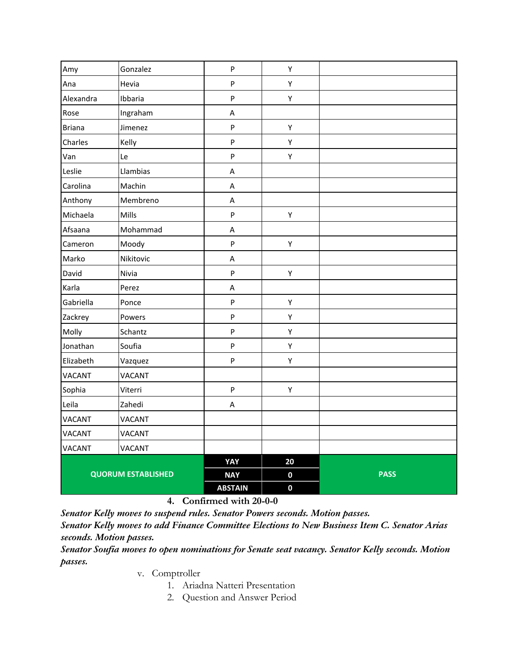|                           | $\boldsymbol{\mathsf{P}}$ | Υ                 |             |
|---------------------------|---------------------------|-------------------|-------------|
| Hevia                     | P                         | Υ                 |             |
| Ibbaria                   | P                         | Υ                 |             |
| Ingraham                  | $\sf A$                   |                   |             |
| Jimenez                   | P                         | Υ                 |             |
| Kelly                     | P                         | Υ                 |             |
| Le                        | P                         | Υ                 |             |
| Llambias                  | $\sf A$                   |                   |             |
| Machin                    | $\sf A$                   |                   |             |
| Membreno                  | $\sf A$                   |                   |             |
| Mills                     | $\boldsymbol{\mathsf{P}}$ | Υ                 |             |
| Mohammad                  | $\sf A$                   |                   |             |
| Moody                     | $\boldsymbol{\mathsf{P}}$ | Υ                 |             |
| Nikitovic                 | $\sf A$                   |                   |             |
| Nivia                     | $\boldsymbol{\mathsf{P}}$ | Υ                 |             |
| Perez                     | $\sf A$                   |                   |             |
| Ponce                     | ${\sf P}$                 | Υ                 |             |
| Powers                    | P                         | Υ                 |             |
| Schantz                   | P                         | Υ                 |             |
| Soufia                    | P                         | Υ                 |             |
| Vazquez                   | $\boldsymbol{\mathsf{P}}$ | Υ                 |             |
| <b>VACANT</b>             |                           |                   |             |
| Viterri                   | $\boldsymbol{\mathsf{P}}$ | Υ                 |             |
| Zahedi                    | $\sf A$                   |                   |             |
| <b>VACANT</b>             |                           |                   |             |
| <b>VACANT</b>             |                           |                   |             |
| <b>VACANT</b>             |                           |                   |             |
|                           |                           | 20                |             |
| <b>QUORUM ESTABLISHED</b> |                           | $\mathbf 0$       | <b>PASS</b> |
|                           | <b>ABSTAIN</b>            | $\mathbf 0$       |             |
|                           | Gonzalez                  | YAY<br><b>NAY</b> |             |

*Senator Kelly moves to suspend rules. Senator Powers seconds. Motion passes.*

*Senator Kelly moves to add Finance Committee Elections to New Business Item C. Senator Arias seconds. Motion passes.*

*Senator Soufia moves to open nominations for Senate seat vacancy. Senator Kelly seconds. Motion passes.*

v. Comptroller

- 1. Ariadna Natteri Presentation
- 2. Question and Answer Period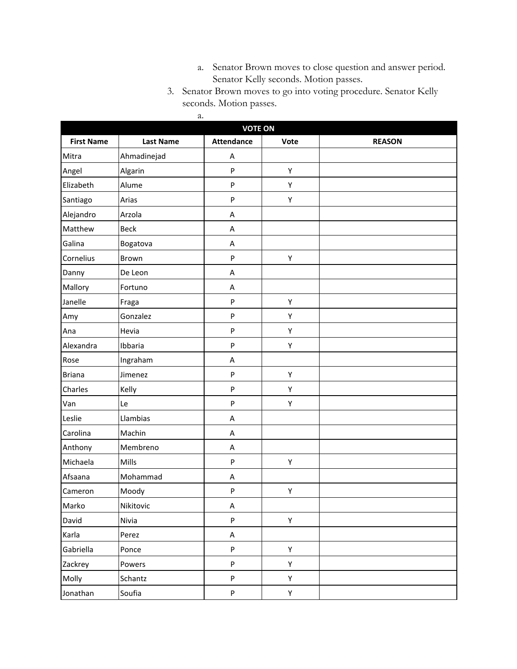- a. Senator Brown moves to close question and answer period. Senator Kelly seconds. Motion passes.
- 3. Senator Brown moves to go into voting procedure. Senator Kelly seconds. Motion passes.

| <b>VOTE ON</b>    |                  |                   |      |               |  |
|-------------------|------------------|-------------------|------|---------------|--|
| <b>First Name</b> | <b>Last Name</b> | <b>Attendance</b> | Vote | <b>REASON</b> |  |
| Mitra             | Ahmadinejad      | Α                 |      |               |  |
| Angel             | Algarin          | ${\sf P}$         | Υ    |               |  |
| Elizabeth         | Alume            | ${\sf P}$         | Υ    |               |  |
| Santiago          | Arias            | ${\sf P}$         | Υ    |               |  |
| Alejandro         | Arzola           | Α                 |      |               |  |
| Matthew           | <b>Beck</b>      | A                 |      |               |  |
| Galina            | Bogatova         | A                 |      |               |  |
| Cornelius         | Brown            | ${\sf P}$         | Υ    |               |  |
| Danny             | De Leon          | A                 |      |               |  |
| Mallory           | Fortuno          | A                 |      |               |  |
| Janelle           | Fraga            | ${\sf P}$         | Υ    |               |  |
| Amy               | Gonzalez         | ${\sf P}$         | Υ    |               |  |
| Ana               | Hevia            | P                 | Υ    |               |  |
| Alexandra         | Ibbaria          | P                 | Υ    |               |  |
| Rose              | Ingraham         | A                 |      |               |  |
| <b>Briana</b>     | Jimenez          | ${\sf P}$         | Υ    |               |  |
| Charles           | Kelly            | ${\sf P}$         | Υ    |               |  |
| Van               | Le               | P                 | Υ    |               |  |
| Leslie            | Llambias         | A                 |      |               |  |
| Carolina          | Machin           | A                 |      |               |  |
| Anthony           | Membreno         | A                 |      |               |  |
| Michaela          | Mills            | P                 | Υ    |               |  |
| Afsaana           | Mohammad         | A                 |      |               |  |
| Cameron           | Moody            | ${\sf P}$         | Υ    |               |  |
| Marko             | Nikitovic        | Α                 |      |               |  |
| David             | Nivia            | P                 | Υ    |               |  |
| Karla             | Perez            | $\sf A$           |      |               |  |
| Gabriella         | Ponce            | ${\sf P}$         | Υ    |               |  |
| Zackrey           | Powers           | P                 | Υ    |               |  |
| Molly             | Schantz          | P                 | Υ    |               |  |
| Jonathan          | Soufia           | ${\sf P}$         | Υ    |               |  |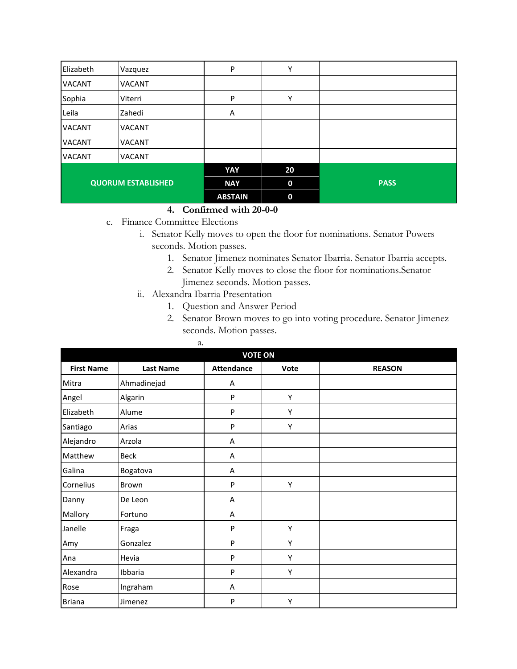| Elizabeth                 | Vazquez       | P              | Υ                |             |
|---------------------------|---------------|----------------|------------------|-------------|
| <b>VACANT</b>             | <b>VACANT</b> |                |                  |             |
| Sophia                    | Viterri       | P              | Υ                |             |
| Leila                     | Zahedi        | Α              |                  |             |
| <b>VACANT</b>             | <b>VACANT</b> |                |                  |             |
| <b>VACANT</b>             | <b>VACANT</b> |                |                  |             |
| <b>VACANT</b>             | <b>VACANT</b> |                |                  |             |
|                           |               | YAY            | 20               |             |
| <b>QUORUM ESTABLISHED</b> |               | <b>NAY</b>     | $\boldsymbol{0}$ | <b>PASS</b> |
|                           |               | <b>ABSTAIN</b> | $\mathbf 0$      |             |

- c. Finance Committee Elections
	- i. Senator Kelly moves to open the floor for nominations. Senator Powers seconds. Motion passes.
		- 1. Senator Jimenez nominates Senator Ibarria. Senator Ibarria accepts.
		- 2. Senator Kelly moves to close the floor for nominations.Senator Jimenez seconds. Motion passes.
	- ii. Alexandra Ibarria Presentation
		- 1. Question and Answer Period
		- 2. Senator Brown moves to go into voting procedure. Senator Jimenez seconds. Motion passes.

|                   | a.               |                   |      |               |  |  |
|-------------------|------------------|-------------------|------|---------------|--|--|
| <b>VOTE ON</b>    |                  |                   |      |               |  |  |
| <b>First Name</b> | <b>Last Name</b> | <b>Attendance</b> | Vote | <b>REASON</b> |  |  |
| Mitra             | Ahmadinejad      | Α                 |      |               |  |  |
| Angel             | Algarin          | P                 | Υ    |               |  |  |
| Elizabeth         | Alume            | P                 | Υ    |               |  |  |
| Santiago          | Arias            | P                 | Y    |               |  |  |
| Alejandro         | Arzola           | Α                 |      |               |  |  |
| Matthew           | <b>Beck</b>      | Α                 |      |               |  |  |
| Galina            | Bogatova         | Α                 |      |               |  |  |
| Cornelius         | Brown            | P                 | Υ    |               |  |  |
| Danny             | De Leon          | Α                 |      |               |  |  |
| Mallory           | Fortuno          | Α                 |      |               |  |  |
| Janelle           | Fraga            | ${\sf P}$         | Υ    |               |  |  |
| Amy               | Gonzalez         | P                 | Y    |               |  |  |
| Ana               | Hevia            | P                 | Υ    |               |  |  |
| Alexandra         | Ibbaria          | P                 | Υ    |               |  |  |
| Rose              | Ingraham         | Α                 |      |               |  |  |
| Briana            | Jimenez          | P                 | Υ    |               |  |  |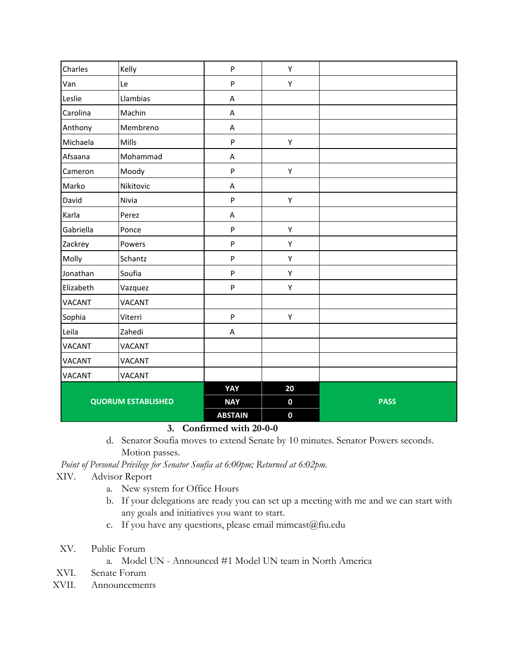| Charles                   | Kelly         | $\sf P$        | Υ                |             |
|---------------------------|---------------|----------------|------------------|-------------|
| Van                       | Le            | ${\sf P}$      | Υ                |             |
| Leslie                    | Llambias      | A              |                  |             |
| Carolina                  | Machin        | A              |                  |             |
| Anthony                   | Membreno      | A              |                  |             |
| Michaela                  | Mills         | $\sf P$        | Υ                |             |
| Afsaana                   | Mohammad      | A              |                  |             |
| Cameron                   | Moody         | $\sf P$        | Υ                |             |
| Marko                     | Nikitovic     | A              |                  |             |
| David                     | Nivia         | $\sf P$        | Υ                |             |
| Karla                     | Perez         | A              |                  |             |
| Gabriella                 | Ponce         | $\mathsf{P}$   | Υ                |             |
| Zackrey                   | Powers        | $\sf P$        | Υ                |             |
| Molly                     | Schantz       | $\sf P$        | Υ                |             |
| Jonathan                  | Soufia        | $\sf P$        | Υ                |             |
| Elizabeth                 | Vazquez       | $\sf P$        | Υ                |             |
| <b>VACANT</b>             | VACANT        |                |                  |             |
| Sophia                    | Viterri       | $\sf P$        | Υ                |             |
| Leila                     | Zahedi        | A              |                  |             |
| <b>VACANT</b>             | <b>VACANT</b> |                |                  |             |
| <b>VACANT</b>             | <b>VACANT</b> |                |                  |             |
| <b>VACANT</b>             | VACANT        |                |                  |             |
|                           |               | YAY            | 20               |             |
| <b>QUORUM ESTABLISHED</b> |               | <b>NAY</b>     | $\boldsymbol{0}$ | <b>PASS</b> |
|                           |               | <b>ABSTAIN</b> | $\mathbf 0$      |             |

d. Senator Soufia moves to extend Senate by 10 minutes. Senator Powers seconds. Motion passes.

*Point of Personal Privilege for Senator Soufia at 6:00pm; Returned at 6:02pm.*

- XIV. Advisor Report
	- a. New system for Office Hours
	- b. If your delegations are ready you can set up a meeting with me and we can start with any goals and initiatives you want to start.
	- c. If you have any questions, please email mimcast@fiu.edu
- XV. Public Forum
	- a. Model UN Announced #1 Model UN team in North America
- XVI. Senate Forum
- XVII. Announcements